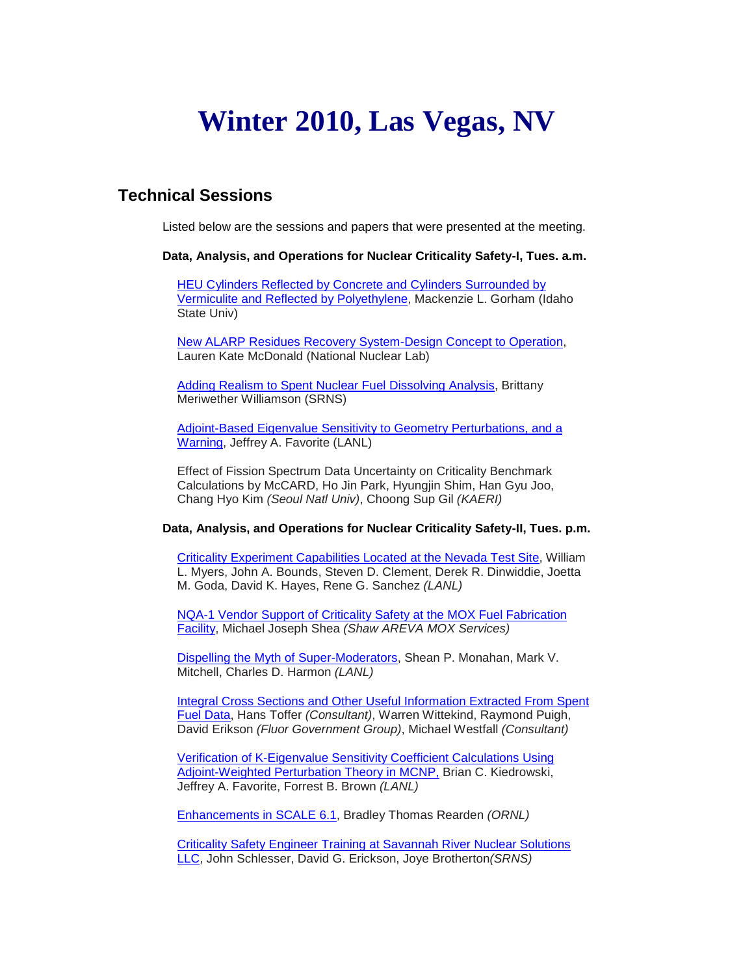## **Winter 2010, Las Vegas, NV**

## **Technical Sessions**

Listed below are the sessions and papers that were presented at the meeting.

**Data, Analysis, and Operations for Nuclear Criticality Safety-I, Tues. a.m.**

**HEU Cylinders Reflected by Concrete and Cylinders Surrounded by** [Vermiculite and Reflected by Polyethylene,](http://ncsd.ans.org/site/las_vegas_2010/gorham.pdf) Mackenzie L. Gorham (Idaho State Univ)

[New ALARP Residues Recovery System-Design](http://ncsd.ans.org/site/las_vegas_2010/McDonald.pdf) Concept to Operation, Lauren Kate McDonald (National Nuclear Lab)

[Adding Realism to Spent Nuclear Fuel Dissolving Analysis,](http://ncsd.ans.org/site/las_vegas_2010/Williamson.pdf) Brittany Meriwether Williamson (SRNS)

[Adjoint-Based Eigenvalue Sensitivity to Geometry Perturbations, and a](http://ncsd.ans.org/site/las_vegas_2010/favorite.pdf)  [Warning,](http://ncsd.ans.org/site/las_vegas_2010/favorite.pdf) Jeffrey A. Favorite (LANL)

Effect of Fission Spectrum Data Uncertainty on Criticality Benchmark Calculations by McCARD, Ho Jin Park, Hyungjin Shim, Han Gyu Joo, Chang Hyo Kim *(Seoul Natl Univ)*, Choong Sup Gil *(KAERI)*

## **Data, Analysis, and Operations for Nuclear Criticality Safety-II, Tues. p.m.**

[Criticality Experiment Capabilities Located at the Nevada Test Site,](http://ncsd.ans.org/site/las_vegas_2010/Myers.pdf) William L. Myers, John A. Bounds, Steven D. Clement, Derek R. Dinwiddie, Joetta M. Goda, David K. Hayes, Rene G. Sanchez *(LANL)*

NQA-1 Vendor Support [of Criticality Safety at the MOX Fuel Fabrication](http://ncsd.ans.org/site/las_vegas_2010/Shea.pdf)  [Facility,](http://ncsd.ans.org/site/las_vegas_2010/Shea.pdf) Michael Joseph Shea *(Shaw AREVA MOX Services)*

[Dispelling the Myth of Super-Moderators,](http://ncsd.ans.org/site/las_vegas_2010/Monahan.pdf) Shean P. Monahan, Mark V. Mitchell, Charles D. Harmon *(LANL)*

[Integral Cross Sections and Other Useful Information Extracted From Spent](http://ncsd.ans.org/site/las_vegas_2010/Toffer.pdf)  [Fuel Data,](http://ncsd.ans.org/site/las_vegas_2010/Toffer.pdf) Hans Toffer *(Consultant)*, Warren Wittekind, Raymond Puigh, David Erikson *(Fluor Government Group)*, Michael Westfall *(Consultant)*

[Verification of K-Eigenvalue Sensitivity Coefficient Calculations Using](http://ncsd.ans.org/site/las_vegas_2010/Brown.pdf)  [Adjoint-Weighted Perturbation Theory in MCNP,](http://ncsd.ans.org/site/las_vegas_2010/Brown.pdf) Brian C. Kiedrowski, Jeffrey A. Favorite, Forrest B. Brown *(LANL)*

[Enhancements in SCALE 6.1,](http://ncsd.ans.org/site/las_vegas_2010/Rearden.pdf) Bradley Thomas Rearden *(ORNL)*

[Criticality Safety Engineer Training at Savannah River Nuclear Solutions](http://ncsd.ans.org/site/las_vegas_2010/Brotherton.pdf)  [LLC,](http://ncsd.ans.org/site/las_vegas_2010/Brotherton.pdf) John Schlesser, David G. Erickson, Joye Brotherton*(SRNS)*